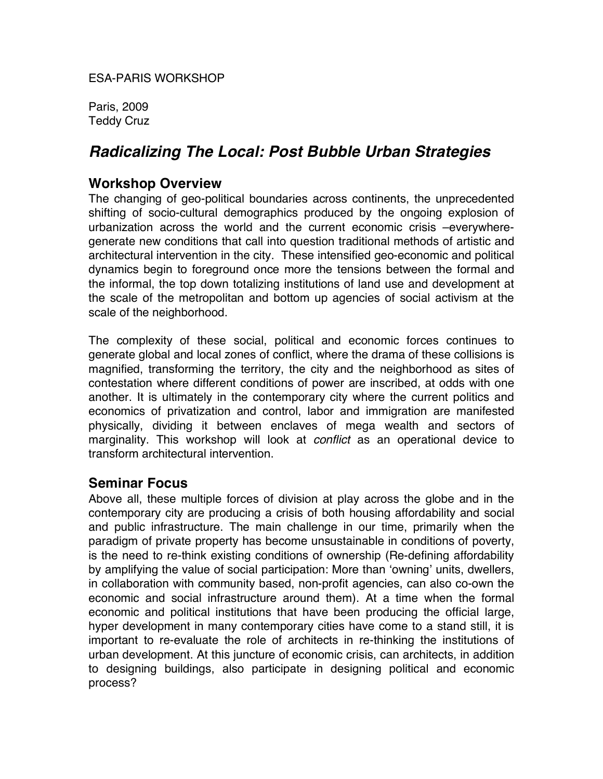ESA-PARIS WORKSHOP

Paris, 2009 Teddy Cruz

# *Radicalizing The Local: Post Bubble Urban Strategies*

#### **Workshop Overview**

The changing of geo-political boundaries across continents, the unprecedented shifting of socio-cultural demographics produced by the ongoing explosion of urbanization across the world and the current economic crisis –everywheregenerate new conditions that call into question traditional methods of artistic and architectural intervention in the city. These intensified geo-economic and political dynamics begin to foreground once more the tensions between the formal and the informal, the top down totalizing institutions of land use and development at the scale of the metropolitan and bottom up agencies of social activism at the scale of the neighborhood.

The complexity of these social, political and economic forces continues to generate global and local zones of conflict, where the drama of these collisions is magnified, transforming the territory, the city and the neighborhood as sites of contestation where different conditions of power are inscribed, at odds with one another. It is ultimately in the contemporary city where the current politics and economics of privatization and control, labor and immigration are manifested physically, dividing it between enclaves of mega wealth and sectors of marginality. This workshop will look at *conflict* as an operational device to transform architectural intervention.

# **Seminar Focus**

Above all, these multiple forces of division at play across the globe and in the contemporary city are producing a crisis of both housing affordability and social and public infrastructure. The main challenge in our time, primarily when the paradigm of private property has become unsustainable in conditions of poverty, is the need to re-think existing conditions of ownership (Re-defining affordability by amplifying the value of social participation: More than ʻowning' units, dwellers, in collaboration with community based, non-profit agencies, can also co-own the economic and social infrastructure around them). At a time when the formal economic and political institutions that have been producing the official large, hyper development in many contemporary cities have come to a stand still, it is important to re-evaluate the role of architects in re-thinking the institutions of urban development. At this juncture of economic crisis, can architects, in addition to designing buildings, also participate in designing political and economic process?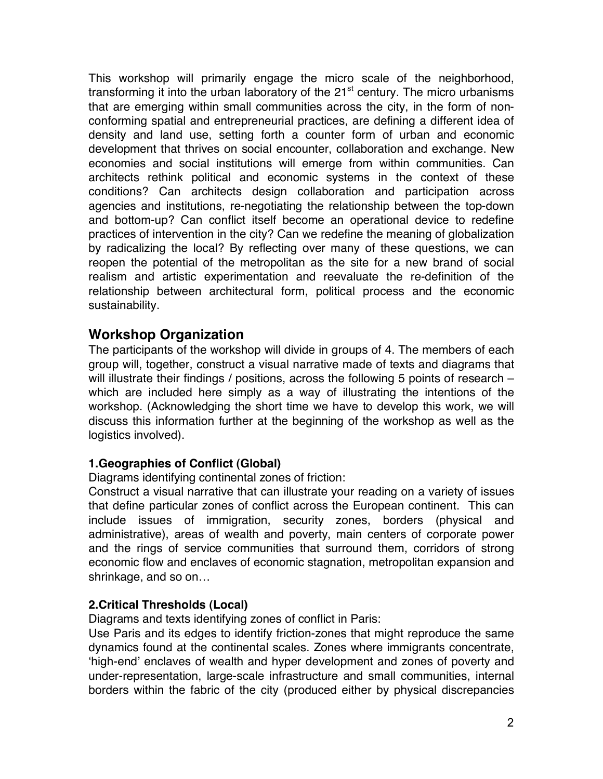This workshop will primarily engage the micro scale of the neighborhood, transforming it into the urban laboratory of the  $21<sup>st</sup>$  century. The micro urbanisms that are emerging within small communities across the city, in the form of nonconforming spatial and entrepreneurial practices, are defining a different idea of density and land use, setting forth a counter form of urban and economic development that thrives on social encounter, collaboration and exchange. New economies and social institutions will emerge from within communities. Can architects rethink political and economic systems in the context of these conditions? Can architects design collaboration and participation across agencies and institutions, re-negotiating the relationship between the top-down and bottom-up? Can conflict itself become an operational device to redefine practices of intervention in the city? Can we redefine the meaning of globalization by radicalizing the local? By reflecting over many of these questions, we can reopen the potential of the metropolitan as the site for a new brand of social realism and artistic experimentation and reevaluate the re-definition of the relationship between architectural form, political process and the economic sustainability.

# **Workshop Organization**

The participants of the workshop will divide in groups of 4. The members of each group will, together, construct a visual narrative made of texts and diagrams that will illustrate their findings / positions, across the following 5 points of research – which are included here simply as a way of illustrating the intentions of the workshop. (Acknowledging the short time we have to develop this work, we will discuss this information further at the beginning of the workshop as well as the logistics involved).

#### **1.Geographies of Conflict (Global)**

Diagrams identifying continental zones of friction:

Construct a visual narrative that can illustrate your reading on a variety of issues that define particular zones of conflict across the European continent. This can include issues of immigration, security zones, borders (physical and administrative), areas of wealth and poverty, main centers of corporate power and the rings of service communities that surround them, corridors of strong economic flow and enclaves of economic stagnation, metropolitan expansion and shrinkage, and so on…

# **2.Critical Thresholds (Local)**

Diagrams and texts identifying zones of conflict in Paris:

Use Paris and its edges to identify friction-zones that might reproduce the same dynamics found at the continental scales. Zones where immigrants concentrate, ʻhigh-end' enclaves of wealth and hyper development and zones of poverty and under-representation, large-scale infrastructure and small communities, internal borders within the fabric of the city (produced either by physical discrepancies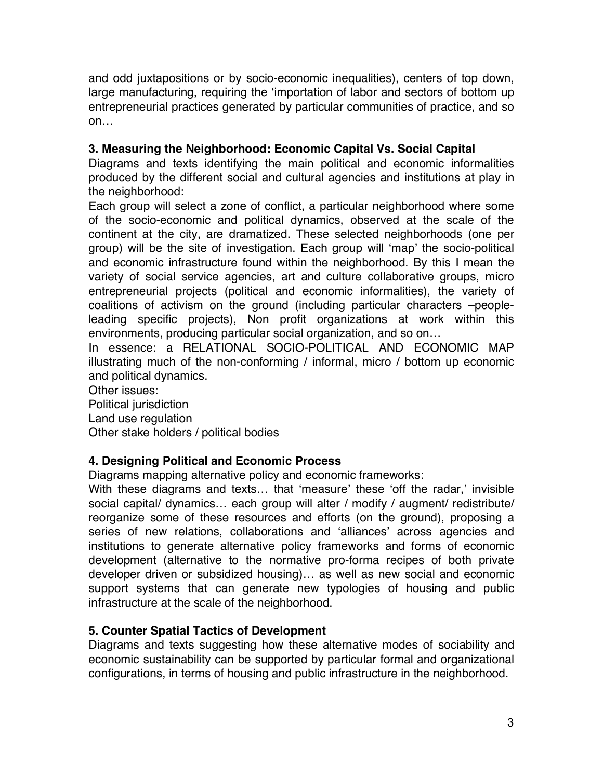and odd juxtapositions or by socio-economic inequalities), centers of top down, large manufacturing, requiring the ʻimportation of labor and sectors of bottom up entrepreneurial practices generated by particular communities of practice, and so on…

#### **3. Measuring the Neighborhood: Economic Capital Vs. Social Capital**

Diagrams and texts identifying the main political and economic informalities produced by the different social and cultural agencies and institutions at play in the neighborhood:

Each group will select a zone of conflict, a particular neighborhood where some of the socio-economic and political dynamics, observed at the scale of the continent at the city, are dramatized. These selected neighborhoods (one per group) will be the site of investigation. Each group will ʻmap' the socio-political and economic infrastructure found within the neighborhood. By this I mean the variety of social service agencies, art and culture collaborative groups, micro entrepreneurial projects (political and economic informalities), the variety of coalitions of activism on the ground (including particular characters –peopleleading specific projects), Non profit organizations at work within this environments, producing particular social organization, and so on…

In essence: a RELATIONAL SOCIO-POLITICAL AND ECONOMIC MAP illustrating much of the non-conforming / informal, micro / bottom up economic and political dynamics.

Other issues:

Political jurisdiction

Land use regulation

Other stake holders / political bodies

# **4. Designing Political and Economic Process**

Diagrams mapping alternative policy and economic frameworks:

With these diagrams and texts… that ʻmeasure' these ʻoff the radar,' invisible social capital/ dynamics… each group will alter / modify / augment/ redistribute/ reorganize some of these resources and efforts (on the ground), proposing a series of new relations, collaborations and ʻalliances' across agencies and institutions to generate alternative policy frameworks and forms of economic development (alternative to the normative pro-forma recipes of both private developer driven or subsidized housing)… as well as new social and economic support systems that can generate new typologies of housing and public infrastructure at the scale of the neighborhood.

# **5. Counter Spatial Tactics of Development**

Diagrams and texts suggesting how these alternative modes of sociability and economic sustainability can be supported by particular formal and organizational configurations, in terms of housing and public infrastructure in the neighborhood.